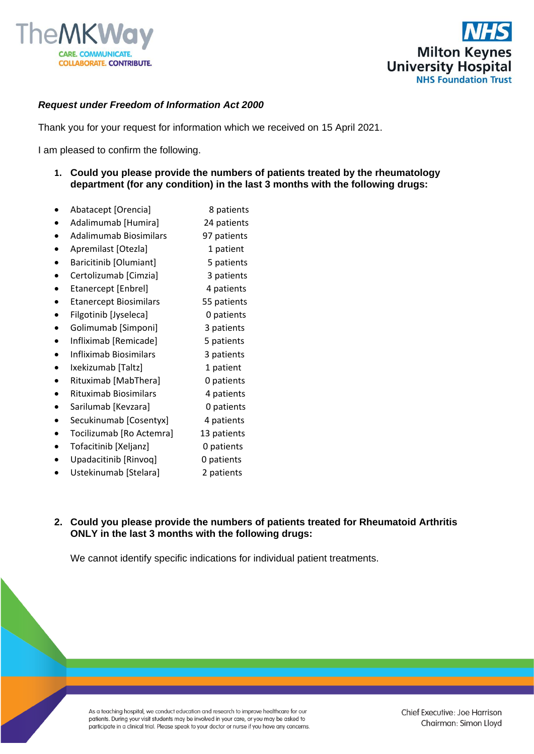



## *Request under Freedom of Information Act 2000*

Thank you for your request for information which we received on 15 April 2021.

I am pleased to confirm the following.

- **1. Could you please provide the numbers of patients treated by the rheumatology department (for any condition) in the last 3 months with the following drugs:**
- Abatacept [Orencia] 8 patients
- Adalimumab [Humira] 24 patients
- Adalimumab Biosimilars 97 patients
- Apremilast [Otezla] 1 patient
- Baricitinib [Olumiant] 5 patients
- Certolizumab [Cimzia] 3 patients
- Etanercept [Enbrel] 4 patients
- Etanercept Biosimilars 55 patients
- Filgotinib [Jyseleca] 0 patients
- Golimumab [Simponi] 3 patients
- Infliximab [Remicade] 5 patients
- Infliximab Biosimilars 3 patients
- Ixekizumab [Taltz] 1 patient
- Rituximab [MabThera] 0 patients
- Rituximab Biosimilars 4 patients
- Sarilumab [Kevzara] 0 patients
- Secukinumab [Cosentyx] 4 patients
- Tocilizumab [Ro Actemra] 13 patients
- Tofacitinib [Xeljanz] 0 patients
- Upadacitinib [Rinvoq] 0 patients
- 
- Ustekinumab [Stelara] 2 patients

## **2. Could you please provide the numbers of patients treated for Rheumatoid Arthritis ONLY in the last 3 months with the following drugs:**

We cannot identify specific indications for individual patient treatments.

As a teaching hospital, we conduct education and research to improve healthcare for our patients. During your visit students may be involved in your care, or you may be asked to participate in a clinical trial. Please speak to your doctor or nurse if you have any concerns. Chief Executive: Joe Harrison Chairman: Simon Lloyd